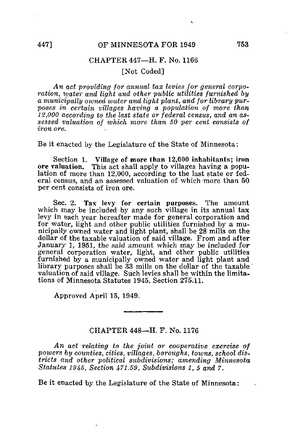## CHAPTER 447—H. F. No. 1166

## [Not Coded]

An act providing for annual tax levies for general corporation, water and light and other public utilities furnished by a municipally owned water and light plant, and for library purposes in certain villages having a population of more than 12,000 according to the last state or federal census, and an assessed valuation of ivhich more than 50 per cent consists of iron ore.

Be it enacted by the Legislature of the State of Minnesota:

Section 1. Village of more than 12,000 inhabitants; iron ore valuation. This act shall apply to villages having a popu-This act shall apply to villages having a population of more than 12,000, according to the last state or federal census, and an assessed valuation of which more than 50 per cent consists of iron ore.

Sec, 2. Tax levy for certain purposes. The amount which may be included by any such village in its annual tax levy in each year hereafter made for general corporation and for water, light and other public utilities furnished by a municipally owned water and light plant, shall be 28 mills on the dollar of the taxable valuation of said village. From and after January 1, 1951, the said amount which may be included for general corporation water, light, and other public utilities furnished by a municipally owned water and light plant and library purposes shall be 33 mills on the dollar of the taxable valuation of said village. Such levies shall be within the limitations of Minnesota Statutes 1945, Section 275.11.

Approved April 15, 1949.

## CHAPTER 448—H. F. No. 1176

An act relating to the joint or cooperative exercise of powers by counties, cities, villages, boroughs, towns, school districts and other political subdivisions; amending Minnesota Statutes 1945, Section 471.59, Subdivisions 1, 5 and 7.

Be it enacted by the Legislature of the State of Minnesota: